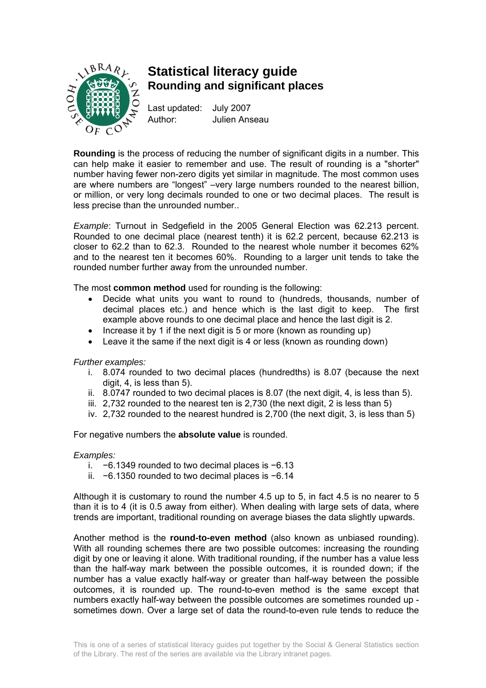

## **Statistical literacy guide Rounding and significant places**

Last updated: July 2007 Author: Julien Anseau

**Rounding** is the process of reducing the number of significant digits in a number. This can help make it easier to remember and use. The result of rounding is a "shorter" number having fewer non-zero digits yet similar in magnitude. The most common uses are where numbers are "longest" –very large numbers rounded to the nearest billion, or million, or very long decimals rounded to one or two decimal places. The result is less precise than the unrounded number..

*Example*: Turnout in Sedgefield in the 2005 General Election was 62.213 percent. Rounded to one decimal place (nearest tenth) it is 62.2 percent, because 62.213 is closer to 62.2 than to 62.3. Rounded to the nearest whole number it becomes 62% and to the nearest ten it becomes 60%. Rounding to a larger unit tends to take the rounded number further away from the unrounded number.

The most **common method** used for rounding is the following:

- Decide what units you want to round to (hundreds, thousands, number of decimal places etc.) and hence which is the last digit to keep. The first example above rounds to one decimal place and hence the last digit is 2.
- Increase it by 1 if the next digit is 5 or more (known as rounding up)
- Leave it the same if the next digit is 4 or less (known as rounding down)

*Further examples:* 

- i. 8.074 rounded to two decimal places (hundredths) is 8.07 (because the next digit, 4, is less than 5).
- ii. 8.0747 rounded to two decimal places is 8.07 (the next digit, 4, is less than 5).
- iii. 2,732 rounded to the nearest ten is 2,730 (the next digit, 2 is less than 5)
- iv. 2,732 rounded to the nearest hundred is 2,700 (the next digit, 3, is less than 5)

For negative numbers the **absolute value** is rounded.

## *Examples:*

- i. −6.1349 rounded to two decimal places is −6.13
- ii. −6.1350 rounded to two decimal places is −6.14

Although it is customary to round the number 4.5 up to 5, in fact 4.5 is no nearer to 5 than it is to 4 (it is 0.5 away from either). When dealing with large sets of data, where trends are important, traditional rounding on average biases the data slightly upwards.

Another method is the **round-to-even method** (also known as unbiased rounding). With all rounding schemes there are two possible outcomes: increasing the rounding digit by one or leaving it alone. With traditional rounding, if the number has a value less than the half-way mark between the possible outcomes, it is rounded down; if the number has a value exactly half-way or greater than half-way between the possible outcomes, it is rounded up. The round-to-even method is the same except that numbers exactly half-way between the possible outcomes are sometimes rounded up sometimes down. Over a large set of data the round-to-even rule tends to reduce the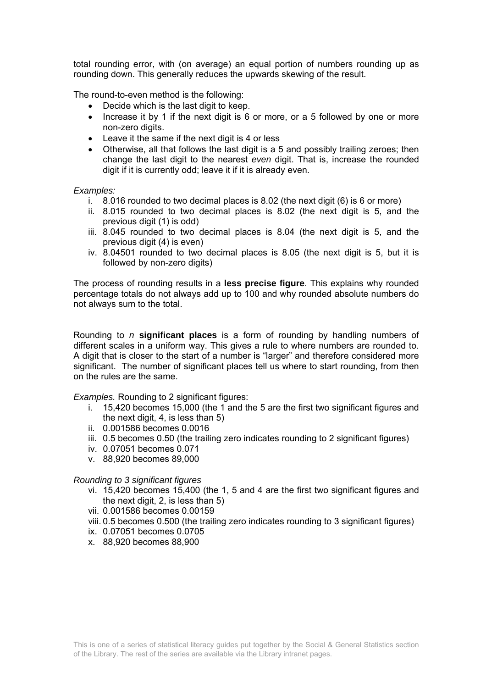total rounding error, with (on average) an equal portion of numbers rounding up as rounding down. This generally reduces the upwards skewing of the result.

The round-to-even method is the following:

- Decide which is the last digit to keep.
- Increase it by 1 if the next digit is 6 or more, or a 5 followed by one or more non-zero digits.
- Leave it the same if the next digit is 4 or less
- Otherwise, all that follows the last digit is a 5 and possibly trailing zeroes; then change the last digit to the nearest *even* digit. That is, increase the rounded digit if it is currently odd; leave it if it is already even.

*Examples:* 

- i. 8.016 rounded to two decimal places is 8.02 (the next digit (6) is 6 or more)
- ii. 8.015 rounded to two decimal places is 8.02 (the next digit is 5, and the previous digit (1) is odd)
- iii. 8.045 rounded to two decimal places is 8.04 (the next digit is 5, and the previous digit (4) is even)
- iv. 8.04501 rounded to two decimal places is 8.05 (the next digit is 5, but it is followed by non-zero digits)

The process of rounding results in a **less precise figure**. This explains why rounded percentage totals do not always add up to 100 and why rounded absolute numbers do not always sum to the total.

Rounding to *n* **significant places** is a form of rounding by handling numbers of different scales in a uniform way. This gives a rule to where numbers are rounded to. A digit that is closer to the start of a number is "larger" and therefore considered more significant. The number of significant places tell us where to start rounding, from then on the rules are the same.

**Examples.** Rounding to 2 significant figures:

- i. 15,420 becomes 15,000 (the 1 and the 5 are the first two significant figures and the next digit, 4, is less than 5)
- ii. 0.001586 becomes 0.0016
- iii. 0.5 becomes 0.50 (the trailing zero indicates rounding to 2 significant figures)
- iv. 0.07051 becomes 0.071
- v. 88,920 becomes 89,000

## *Rounding to 3 significant figures*

- vi. 15,420 becomes 15,400 (the 1, 5 and 4 are the first two significant figures and the next digit, 2, is less than 5)
- vii. 0.001586 becomes 0.00159
- viii. 0.5 becomes 0.500 (the trailing zero indicates rounding to 3 significant figures)
- ix. 0.07051 becomes 0.0705
- x. 88,920 becomes 88,900